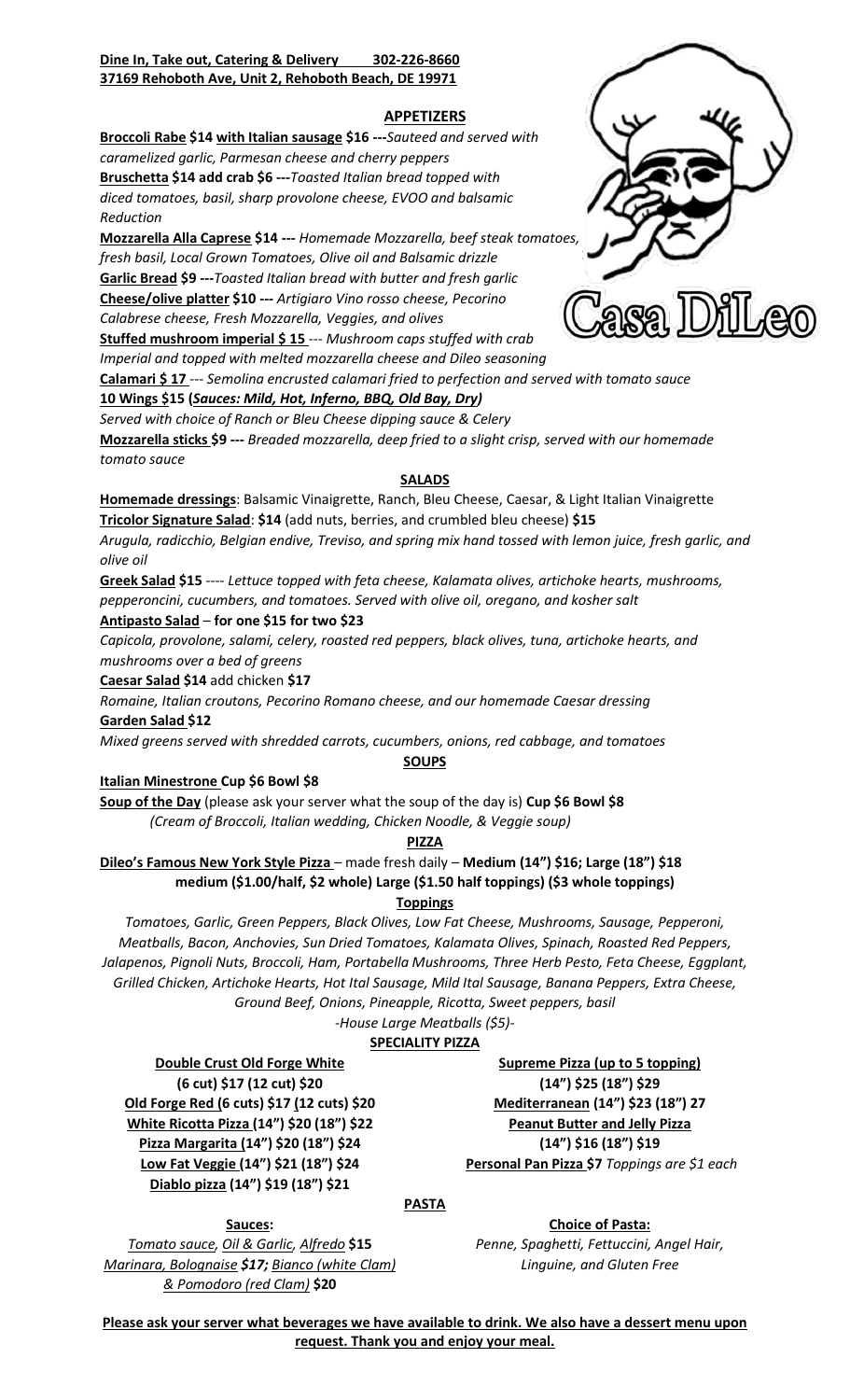# **Dine In, Take out, Catering & Delivery 302-226-8660 37169 Rehoboth Ave, Unit 2, Rehoboth Beach, DE 19971**

# **APPETIZERS**

**Broccoli Rabe \$14 with Italian sausage \$16 ---***Sauteed and served with caramelized garlic, Parmesan cheese and cherry peppers*

**Bruschetta \$14 add crab \$6 ---***Toasted Italian bread topped with diced tomatoes, basil, sharp provolone cheese, EVOO and balsamic Reduction*

**Mozzarella Alla Caprese \$14 ---** *Homemade Mozzarella, beef steak tomatoes, fresh basil, Local Grown Tomatoes, Olive oil and Balsamic drizzle* **Garlic Bread \$9 ---***Toasted Italian bread with butter and fresh garlic*  **Cheese/olive platter \$10 ---** *Artigiaro Vino rosso cheese, Pecorino Calabrese cheese, Fresh Mozzarella, Veggies, and olives*

**Stuffed mushroom imperial \$ 15** --- *Mushroom caps stuffed with crab Imperial and topped with melted mozzarella cheese and Dileo seasoning*

**Calamari \$ 17** --- *Semolina encrusted calamari fried to perfection and served with tomato sauce*

# **10 Wings \$15 (***Sauces: Mild, Hot, Inferno, BBQ, Old Bay, Dry)*

*Served with choice of Ranch or Bleu Cheese dipping sauce & Celery* **Mozzarella sticks \$9 ---** *Breaded mozzarella, deep fried to a slight crisp, served with our homemade tomato sauce*

# **SALADS**

**Homemade dressings**: Balsamic Vinaigrette, Ranch, Bleu Cheese, Caesar, & Light Italian Vinaigrette **Tricolor Signature Salad**: **\$14** (add nuts, berries, and crumbled bleu cheese) **\$15**

*Arugula, radicchio, Belgian endive, Treviso, and spring mix hand tossed with lemon juice, fresh garlic, and olive oil*

**Greek Salad \$15** ---- *Lettuce topped with feta cheese, Kalamata olives, artichoke hearts, mushrooms, pepperoncini, cucumbers, and tomatoes. Served with olive oil, oregano, and kosher salt*

# **Antipasto Salad** – **for one \$15 for two \$23**

*Capicola, provolone, salami, celery, roasted red peppers, black olives, tuna, artichoke hearts, and mushrooms over a bed of greens*

**Caesar Salad \$14** add chicken **\$17**

*Romaine, Italian croutons, Pecorino Romano cheese, and our homemade Caesar dressing* **Garden Salad \$12**

*Mixed greens served with shredded carrots, cucumbers, onions, red cabbage, and tomatoes*

# **SOUPS**

**Italian Minestrone Cup \$6 Bowl \$8**

**Soup of the Day** (please ask your server what the soup of the day is) **Cup \$6 Bowl \$8** *(Cream of Broccoli, Italian wedding, Chicken Noodle, & Veggie soup)*

**PIZZA**

# **Dileo's Famous New York Style Pizza** – made fresh daily – **Medium (14") \$16; Large (18") \$18 medium (\$1.00/half, \$2 whole) Large (\$1.50 half toppings) (\$3 whole toppings)**

**Toppings**

*Tomatoes, Garlic, Green Peppers, Black Olives, Low Fat Cheese, Mushrooms, Sausage, Pepperoni, Meatballs, Bacon, Anchovies, Sun Dried Tomatoes, Kalamata Olives, Spinach, Roasted Red Peppers, Jalapenos, Pignoli Nuts, Broccoli, Ham, Portabella Mushrooms, Three Herb Pesto, Feta Cheese, Eggplant, Grilled Chicken, Artichoke Hearts, Hot Ital Sausage, Mild Ital Sausage, Banana Peppers, Extra Cheese, Ground Beef, Onions, Pineapple, Ricotta, Sweet peppers, basil*

*-House Large Meatballs (\$5)-*

# **SPECIALITY PIZZA**

**Double Crust Old Forge White (6 cut) \$17 (12 cut) \$20 Old Forge Red (6 cuts) \$17 (12 cuts) \$20 White Ricotta Pizza (14") \$20 (18") \$22 Pizza Margarita (14") \$20 (18") \$24 Low Fat Veggie (14") \$21 (18") \$24 Diablo pizza (14") \$19 (18") \$21**

**Supreme Pizza (up to 5 topping) (14") \$25 (18") \$29 Mediterranean (14") \$23 (18") 27 Peanut Butter and Jelly Pizza (14") \$16 (18") \$19 Personal Pan Pizza \$7** *Toppings are \$1 each*

# **PASTA**

**Sauces:**  *Tomato sauce, Oil & Garlic, Alfredo* **\$15** *Marinara, Bolognaise \$17; Bianco (white Clam) & Pomodoro (red Clam)* **\$20**

**Choice of Pasta:** *Penne, Spaghetti, Fettuccini, Angel Hair, Linguine, and Gluten Free*

**Please ask your server what beverages we have available to drink. We also have a dessert menu upon request. Thank you and enjoy your meal.**

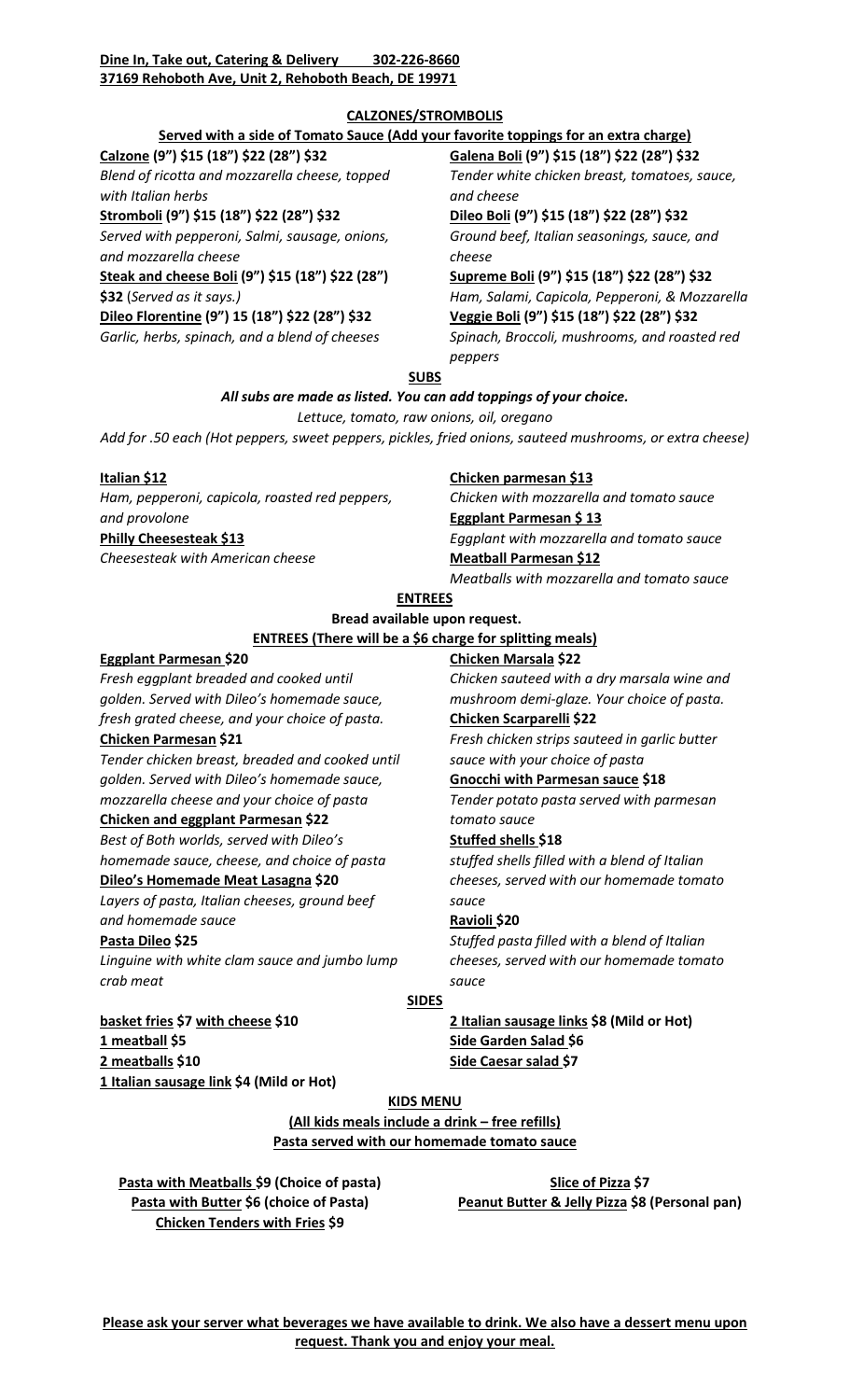## **Dine In, Take out, Catering & Delivery 302-226-8660 37169 Rehoboth Ave, Unit 2, Rehoboth Beach, DE 19971**

## **CALZONES/STROMBOLIS**

# **Served with a side of Tomato Sauce (Add your favorite toppings for an extra charge)**

**Calzone (9") \$15 (18") \$22 (28") \$32**

*Blend of ricotta and mozzarella cheese, topped with Italian herbs*

**Stromboli (9") \$15 (18") \$22 (28") \$32**

*Served with pepperoni, Salmi, sausage, onions, and mozzarella cheese*

**Steak and cheese Boli (9") \$15 (18") \$22 (28") \$32** (*Served as it says.)*

**Dileo Florentine (9") 15 (18") \$22 (28") \$32** *Garlic, herbs, spinach, and a blend of cheeses* **Galena Boli (9") \$15 (18") \$22 (28") \$32** *Tender white chicken breast, tomatoes, sauce, and cheese*

**Dileo Boli (9") \$15 (18") \$22 (28") \$32**  *Ground beef, Italian seasonings, sauce, and cheese*

**Supreme Boli (9") \$15 (18") \$22 (28") \$32** *Ham, Salami, Capicola, Pepperoni, & Mozzarella*  **Veggie Boli (9") \$15 (18") \$22 (28") \$32** *Spinach, Broccoli, mushrooms, and roasted red peppers*

## **SUBS**

# *All subs are made as listed. You can add toppings of your choice.*

*Lettuce, tomato, raw onions, oil, oregano*

*Add for .50 each (Hot peppers, sweet peppers, pickles, fried onions, sauteed mushrooms, or extra cheese)*

#### **Italian \$12**

*Ham, pepperoni, capicola, roasted red peppers, and provolone* **Philly Cheesesteak \$13** *Cheesesteak with American cheese*

## **Chicken parmesan \$13**

*Chicken with mozzarella and tomato sauce* **Eggplant Parmesan \$ 13** *Eggplant with mozzarella and tomato sauce* **Meatball Parmesan \$12** *Meatballs with mozzarella and tomato sauce*

**ENTREES**

# **Bread available upon request.**

#### **ENTREES (There will be a \$6 charge for splitting meals) Chicken Marsala \$22**

#### **Eggplant Parmesan \$20**

*Fresh eggplant breaded and cooked until golden. Served with Dileo's homemade sauce, fresh grated cheese, and your choice of pasta.*

## **Chicken Parmesan \$21**

*Tender chicken breast, breaded and cooked until golden. Served with Dileo's homemade sauce, mozzarella cheese and your choice of pasta*

# **Chicken and eggplant Parmesan \$22**

*Best of Both worlds, served with Dileo's homemade sauce, cheese, and choice of pasta*

# **Dileo's Homemade Meat Lasagna \$20**

*Layers of pasta, Italian cheeses, ground beef and homemade sauce*

## **Pasta Dileo \$25**

*Linguine with white clam sauce and jumbo lump crab meat*

**Chicken Scarparelli \$22**

*Fresh chicken strips sauteed in garlic butter sauce with your choice of pasta*

*Chicken sauteed with a dry marsala wine and mushroom demi-glaze. Your choice of pasta.*

# **Gnocchi with Parmesan sauce \$18**

*Tender potato pasta served with parmesan tomato sauce*

# **Stuffed shells \$18**

*stuffed shells filled with a blend of Italian cheeses, served with our homemade tomato sauce*

## **Ravioli \$20**

*Stuffed pasta filled with a blend of Italian cheeses, served with our homemade tomato sauce*

## **SIDES**

**basket fries \$7 with cheese \$10 1 meatball \$5 2 meatballs \$10 1 Italian sausage link \$4 (Mild or Hot)**

**2 Italian sausage links \$8 (Mild or Hot) Side Garden Salad \$6 Side Caesar salad \$7**

**KIDS MENU**

**(All kids meals include a drink – free refills) Pasta served with our homemade tomato sauce**

**Pasta with Meatballs \$9 (Choice of pasta) Pasta with Butter \$6 (choice of Pasta) Chicken Tenders with Fries \$9**

**Slice of Pizza \$7 Peanut Butter & Jelly Pizza \$8 (Personal pan)**